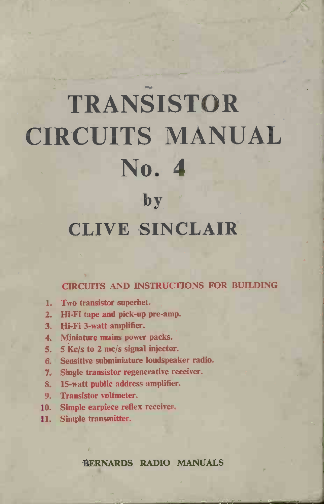# TRANSISTOR CIRCUITS MANUAL No. 4 S<br>D.<br>by TRANSISTOR<br>CUITS MANI<br>No. 4<br>by<br>CLIVE SINCLAIR

# **CLIVE SINCLAIR**<br>CIRCUITS AND INSTRUCTIONS FOR BUILDING

- 1. Two transistor superhet.
- 1. Two transistor superhet.<br>2. Hi-Fi tape and pick-up pre-amp. 2. Hi-Fi tape and pick-up<br>3. Hi-Fi 3-watt amplifier.
- 
- 3. Hi-Fi 3-watt amplifier.<br>4. Miniature mains power packs.
- 5. 5 Kc/s to 2 me/s signal injector.
- 5.  $5$  Kc/s to 2 mc/s signal injector.<br>6. Sensitive subminiature loudspeaker radio. 5. Sensitive subminiature loudspeaker rates.<br>7. Single transistor regenerative receiver.
- 7. Single transistor regenerative receiver.<br>8. 15-watt public address amplifier.
- 
- 9. Transistor voltmeter.
- 10. Simple earpiece reflex receiver.
- 11. Simple transmitter.

BERNARDS RADIO MANUALS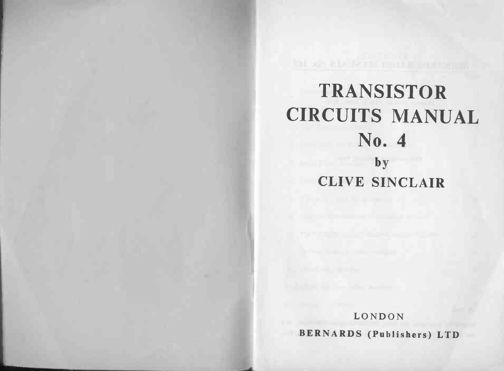## TRANSISTOR **TRANSISTOR<br>CIRCUITS MANUAL** NSIS<br>TS M<br>No. 4 S<br>0.<br>by TRANSISTOR<br>CUITS MANI<br>No. 4<br>by<br>CLIVE SINCLAIR

LONDON BERNARDS (Publishers) LTD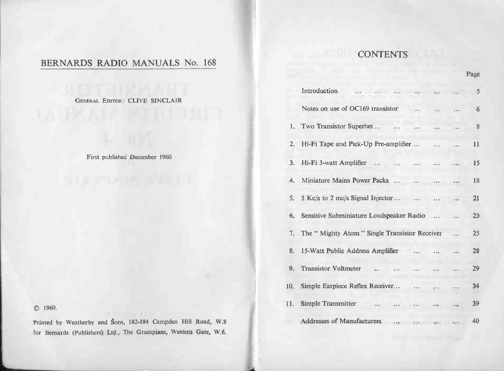# BERNARDS RADIO MANUALS No. 168

(C) 1960.

|                                                                                                                                    | <b>CONTENTS</b>                                                                                        |  |  |  |  |
|------------------------------------------------------------------------------------------------------------------------------------|--------------------------------------------------------------------------------------------------------|--|--|--|--|
| BERNARDS RADIO MANUALS No. 168                                                                                                     | Page                                                                                                   |  |  |  |  |
|                                                                                                                                    | Introduction<br>-5                                                                                     |  |  |  |  |
| GENERAL EDITOR: CLIVE SINCLAIR                                                                                                     | Notes on use of OC169 transistor<br>6                                                                  |  |  |  |  |
|                                                                                                                                    | 1. Two Transistor Superhet<br>8<br>$\mathcal{L}_{\rm{max}}$                                            |  |  |  |  |
|                                                                                                                                    | 2. Hi-Fi Tape and Pick-Up Pre-amplifier<br>11                                                          |  |  |  |  |
| First published December 1960                                                                                                      | 3. Hi-Fi 3-watt Amplifier<br>15                                                                        |  |  |  |  |
| <u> 1977 - 1978</u>                                                                                                                | 4. Miniature Mains Power Packs<br>18                                                                   |  |  |  |  |
|                                                                                                                                    | 5 Kc/s to 2 mc/s Signal Injector<br>21<br>5.<br>$\cdots$                                               |  |  |  |  |
|                                                                                                                                    | Sensitive Subminiature Loudspeaker Radio<br>$23^{\circ}$<br>6.<br>$\ddot{\phantom{a}}$                 |  |  |  |  |
|                                                                                                                                    | The " Mighty Atom " Single Transistor Receiver<br>25<br>7.                                             |  |  |  |  |
|                                                                                                                                    | 8. 15-Watt Public Address Amplifier<br>28<br>$\ddotsc$                                                 |  |  |  |  |
|                                                                                                                                    | <b>Transistor Voltmeter</b><br>29<br>9.                                                                |  |  |  |  |
|                                                                                                                                    | Simple Earpiece Reflex Receiver<br>34<br>10.<br>$\cdots$<br>$6 - 8$<br>$\frac{1}{2}$ and $\frac{1}{2}$ |  |  |  |  |
| C 1960.                                                                                                                            | Simple Transmitter<br>39<br>11.                                                                        |  |  |  |  |
| Printed by Weatherby and Sons, 182-184 Campden Hill Road, W.8<br>for Bernards (Publishers) Ltd., The Grampians, Western Gate, W.6. | Addresses of Manufacturers<br>40                                                                       |  |  |  |  |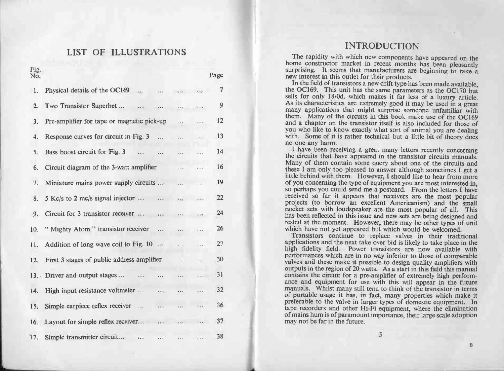# LIST OF ILLUSTRATIONS

|       |                                                             |                                |          |      | <b>INTRODUCTION</b>                                                                                                                            |
|-------|-------------------------------------------------------------|--------------------------------|----------|------|------------------------------------------------------------------------------------------------------------------------------------------------|
|       | LIST OF ILLUSTRATIONS                                       |                                |          |      | The rapidity with which new components have appeared on the                                                                                    |
| Fig.  |                                                             |                                |          |      | home constructor market in recent months has been pleasantly<br>surprising. It seems that manufacturers are beginning to take a                |
| No.   |                                                             |                                |          | Page | new interest in this outlet for their products.                                                                                                |
|       |                                                             |                                |          |      | In the field of transistors a new drift type has been made available,                                                                          |
| 1.    | Physical details of the OC169<br>$\cdots$                   |                                |          | 7    | the OC169. This unit has the same parameters as the OC170 but<br>sells for only 18/0d. which makes it far less of a luxury article.            |
| 2.    | Two Transistor Superhet<br>$\cdots$                         |                                |          | 9    | As its characteristics are extremely good it may be used in a great                                                                            |
|       |                                                             |                                |          |      | many applications that might surprise someone unfamiliar with<br>them. Many of the circuits in this book make use of the OC169                 |
| 3.    | Pre-amplifier for tape or magnetic pick-up                  | $\cdots$                       |          | 12   | and a chapter on the transistor itself is also included for those of                                                                           |
|       | Response curves for circuit in Fig. 3                       |                                |          | 13   | you who like to know exactly what sort of animal you are dealing<br>with. Some of it is rather technical but a little bit of theory does       |
| 4.    |                                                             |                                |          |      | no one any harm.                                                                                                                               |
| 5.    | Bass boost circuit for Fig. 3<br>$\cdots$ $\cdots$          |                                |          | 14   | I have been receiving a great many letters recently concerning                                                                                 |
|       |                                                             |                                |          |      | the circuits that have appeared in the transistor circuits manuals.<br>Many of them contain some query about one of the circuits and           |
| 6.    | Circuit diagram of the 3-watt amplifier                     |                                |          | 16   | these I am only too pleased to answer although sometimes I get a                                                                               |
| 7.    | Miniature mains power supply circuits                       | $\sim$ 1.10                    |          | 19   | little behind with them. However, I should like to hear from more<br>of you concerning the type of equipment you are most interested in,       |
|       |                                                             |                                |          |      | so perhaps you could send me a postcard. From the letters I have                                                                               |
|       | 5 Kc/s to 2 mc/s signal injector $\cdots$ $\cdots$ $\cdots$ |                                |          | 22   | received so far it appears that receivers are the most popular                                                                                 |
|       |                                                             |                                |          |      | projects (to borrow an excellent Americanism) and the small<br>pocket sets with loudspeaker are the most popular of all. This                  |
| 9.    | Circuit for 3 transistor receiver                           |                                |          | 24   | has been reflected in this issue and new sets are being designed and                                                                           |
| 10.   | "Mighty Atom " transistor receiver                          | $\pm$ a $\bar{\nu}_\mathrm{e}$ |          | 26   | tested at the moment. However, there may be other types of unit<br>which have not yet appeared but which would be welcomed.                    |
|       |                                                             |                                |          |      | Transistors continue to replace valves in their traditional                                                                                    |
| 11. . | Addition of long wave coil to Fig. 10                       |                                |          | 27   | applications and the next take over bid is likely to take place in the<br>high fidelity field. Power transistors are now available with        |
|       |                                                             |                                |          |      | performances which are in no way inferior to those of comparable                                                                               |
| 12.   | First 3 stages of public address amplifier                  |                                |          | 30   | valves and these make it possible to design quality amplifiers with                                                                            |
|       | 13. Driver and output stages                                |                                | $\cdots$ | 31   | outputs in the region of 20 watts. As a start in this field this manual<br>contains the circuit for a pre-amplifier of extremely high perform- |
|       |                                                             |                                |          |      | ance and equipment for use with this will appear in the future                                                                                 |
| 14.   | High input resistance voltmeter<br>$\sim 10^{-1}$           |                                |          | 32   | manuals. Whilst many still tend to think of the transistor in terms<br>of portable usage it has, in fact, many properties which make it        |
| 15.   | Simple earpiece reflex receiver                             |                                |          | 36   | preferable to the valve in larger types of domestic equipment. In                                                                              |
|       |                                                             |                                |          |      | tape recorders and other Hi-Fi equipment, where the elimination<br>of mains hum is of paramount importance, their large scale adoption         |
|       | 16. Layout for simple reflex receiver                       | $\sim 10^{11}$                 |          | 37   | may not be far in the future.                                                                                                                  |
|       |                                                             |                                |          |      | 5                                                                                                                                              |
|       | 17. Simple transmitter circuit<br>$\mathbf{z}$              |                                |          | 38   |                                                                                                                                                |

 $\mathbf{B}$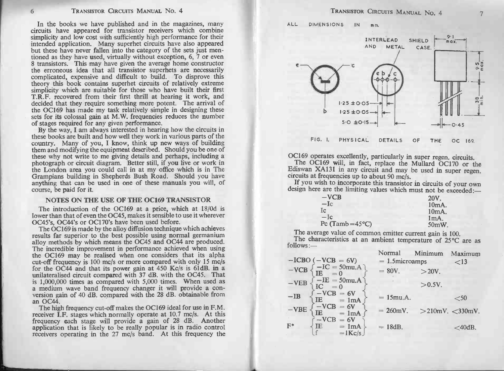In the books we have published and in the magazines, many circuits have appeared for transistor receivers which combine In the books we have published and in the magazines, many circuits have appeared for transistor receivers which combine simplicity and low cost with sufficiently high performance for their IRANSISTOR CIRCUITS MANUAL NO. 4<br>In the books we have published and in the magazines, many<br>circuits have appeared for transistor receivers which combine<br>simplicity and low cost with sufficiently high performance for their<br> In the books we have published and in the magazines, many<br>circuits have appeared for transistor receivers which combine<br>simplicity and low cost with sufficiently high performance for their<br>intended application. Many superh simplicity and low cost with sufficiently high performance for their intended application. Many superhet circuits have also appeared but these have never fallen into the category of the sets just mentioned as they have use but these have never railen into the category of the sets just mentioned as they have used, virtually without exception, 6, 7 or even the average home constructor the erroneous idea that all transistor superhets are necess theory this book contains superhet circuits of relatively extreme simplicity which are suitable for those who have built their first T.R.F. recovered from their first thrill at hearing it work, and decided that they requir **Correct stages required from their first time at hearing revolts.** The arrival of the OC169 has made my task relatively simple in designing these sets for its colossal gain at M.W. frequencies reduces the number of stages the OC169 has made my task relatively simple in designing these<br>sets for its colossal gain at M.W. frequencies reduces the number<br>of stages required for any given performance.<br>By the way, I am always interested in hearing

the OC169 has made my task relatively simple in designing these sets for its colossal gain at M.W. frequencies reduces the number of stages required for any given performance.<br>By the way, I am always interested in hearing By the way, I am always interested in hearing how the circuits in these books are built and how well they work in various parts of the country. Many of you, I know, think up new ways of building the london area you could c them and modifying the equipment described. Should you be one of these why not write to me giving details and perhaps, including a photograph or circuit diagram. Better still, if you live or work in the London area you cou photograph or circuit diagram. Better still, if you live or work in<br>the London area you could call in at my office which is in The<br>Grampians building in Shepherds Bush Road. Should you have<br>anything that can be used in one Grampians building<br>anything that can be<br>course, b<mark>e pa</mark>id for it. why not write to me giving details and perhaps, including<br>ograph or circuit diagram. Better still, if you live or word<br>condon area you could call in at my office which is in<br>mpians building in Shepherds Bush Road. Should y Fraction of the USE OF THE OC169 TRANSISTOR<br>The introduction of the OC169 at a price, which at 18/0d is

lower than that of even the 0C45, makes it sensible to use it wherever 0C45's, 0C44's or 0C170's have been used before. The introduction of the OC169 at a price, which at 18/0d is<br>wer than that of even the OC45, makes it sensible to use it wherever<br>C45's, OC44's or OC170's have been used before.<br>The OC169 is made by the alloy diffusion tech

anything that can be used in one of these manuals you will, of course, be paid for it.<br>
NOTES ON THE USE OF THE OC169 TRANSISTOR<br>
The introduction of the OC169 at a price, which at 18/0d is<br>
lower than that of even the OC4 results far superior to the best possible using normal germanium alloy methods by which means the OC45 and OC44 are produced.<br>The incredible improvement in performance achieved when using the OC169 may be realised when one alloy methods by which means the OC45 and OC44 are produced.<br>The incredible improvement in performance achieved when using<br>The incredible improvement in performance achieved when using<br>the OC169 may be realised when one co a medium wave band frequency changer it will provide a conversion gain of 40 dB, compared with the 28 dB. obtainable from an OC44.

a medium wave band frequency changer it will provide a conversion gain of 40 dB. compared with the 28 dB. obtainable from The high frequency cut-off makes the OC169 ideal for use in F.M. receiver I.F. stages which normally



| $-VCB$                    | 20V.     |
|---------------------------|----------|
| $-Ic$                     | $10mA$ . |
| Īс                        | $10mA$ . |
| $-Ic$                     | ImA.     |
| Pc (Tamb= $45^{\circ}$ C) | 50mW     |

| $-ICBO$ (                                                                                                          | <i>i</i> Normal<br>$= 1.5$ microamps | Minimum   | Maximum<br>$<$ 13     |
|--------------------------------------------------------------------------------------------------------------------|--------------------------------------|-----------|-----------------------|
| $\begin{array}{l} (-\text{VCB} = 6\text{V}) \\ -\text{IC} = 50\text{mu.A} \\ \text{IE} = 0 \end{array}$<br>$-VCB3$ | $= 80V$ .                            | $>20V$ .  |                       |
| $\mathrm{LTE} = 50$ mu.A<br>IC = 0<br>$-VEB$                                                                       |                                      | $>0.5V$ . |                       |
| $-VCB = 6V$<br>IE = 1mA<br>$-IB$                                                                                   | $= 15$ mu.A.                         |           | $<$ 50                |
| $-VCB$<br>$CB = 6V$<br>= 1mA<br>$-VBE$                                                                             | $= 260 \text{mV}$ .                  |           | $>$ 210mV. $<$ 330mV. |
| $ VCB$<br>$= 6V$<br>$F^*$<br>IE<br>$= 1mA$<br>$=$ 1 Kc/s                                                           | $= 18dB.$                            |           | $<$ 40dB.             |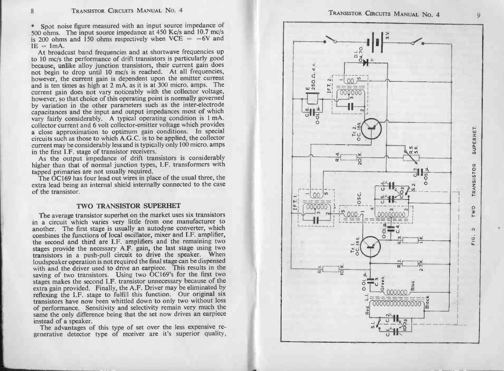8 TRANSISTOR CIRCUITS MANUAL NO. 4<br>\* Spot noise figure measured with an input source impedance of **S** TRANSISTOR CIRCUITS MANUAL No. 4<br> **Source impedance at 450 Kc/s and 10.7 mc/s** is 200 ohms. The input source impedance at 450 Kc/s and 10.7 mc/s<br>
is 200 ohms and 150 ohms respectively when VCE =  $-6V$  and<br>
IE = 1mA. Spot noise figure measured with an input source impedance of 0 ohms. The input source impedance at 450 Kc/s and 10.7 mc/s 200 ohms and 150 ohms respectively when VCE =  $-6V$  and = 1mA.<br>At broadcast band frequencies and at

Spot noise figure measured with an input source impedance of<br>500 ohms. The input source impedance at 450 Kc/s and 10.7 mc/s<br>is 200 ohms and 150 ohms respectively when VCE = -6V and<br>IE = 1mA.<br>At broadcast band frequencies however, the current gain is dependent upon the emitter current and is ten times as high at 2 mA. as it is at 300 micro. amps. The current gain does not vary noticeably with the collector voltage, however, so that choice o because, unlike alloy junction transistors, their current gain does<br>not begin to drop until 10 mc/s is reached. At all frequencies,<br>however, the current gain is dependent upon the emitter current<br>and is ten times as high a by variation in the other parameters such as the inter-electrode Extrictly considerably considerably warities operating point is normally governed<br>hy variation in the other parameters such as the inter-electrode<br>capacitances and the input and output impedances most of which<br>vary fairly vary fairly considerably. A typical operating condition is 1 mA.<br>collector current and 6 volt collector-emitter voltage which provides<br>a close approximation to optimum gain conditions. In special<br>circuits such as those to collector current and 6 volt collector-emitter voltage which provides<br>a close approximation to optimum gain conditions. In special<br>circuits such as those to which A.G.C. is to be applied, the collector<br>current may be consi

It also the first I.F. stage of transistor receivers.<br>As the output impedance of drift transistors is considerably<br>higher than that of normal junction types, I.F. transformers with<br>tapped primaries are not usually required

of the transistor.t of normal junction types, I.F. tra<br>s are not usually required.<br>as four lead out wires in place of the<br>f an internal shield internally connection<br>TWO TRANSISTOR SUPERHET

Extra lead being an internal smeld internally connected to the case<br>of the transistor.<br>TWO TRANSISTOR SUPERHET<br>The average transistor superhet on the market uses six transistors<br>in a circuit which varies very little from o TWO TRANSISTOR SUPERHET<br>The average transistor superhet on the market uses six transistors<br>in a circuit which varies very little from one manufacturer to<br>another. The first stage is usually an autodyne converter, which The average transistor superhet on the market uses six transistors<br>in a circuit which varies very little from one manufacturer to<br>another. The first stage is usually an autodyne converter, which<br>combines the functions of l combines the functions of local oscillator, mixer and I.F. amplifier, the second and third are I.F. amplifiers and the remaining two stages provide the necessary A.F. gain, the last stage using two transistors in a push-pu the second and third are I.F. amplifiers and the remaining two stages provide the necessary A.F. gain, the last stage using two transistors in a push-pull circuit to drive the speaker. When loudspeaker operation is not req ransistors in a push-put circuit to drive the speaker. When<br>loudspeaker operation is not required the final stage can be dispensed<br>with and the driver used to drive an earpice. This results in the<br>stages makes the second I stages makes the second I.F. transistor unnecessary because of the extra gain provided. Finally, the A.F. Driver may be eliminated by reflexing the I.F. stage to fulfill this function. Our original six transistors have now same the only difference being that the set now drives an earpiece<br>instead of a speaker.<br>The advantages of this type of set over the less expensive re-<br>generative detector type of receiver are it's superior quality. Transistors have now been winttied down to only two without bost<br>for performance. Sensitivity and selectivity remain very much the<br>same the only difference being that the set now drives an earpiece<br>instead of a speaker.<br>Th

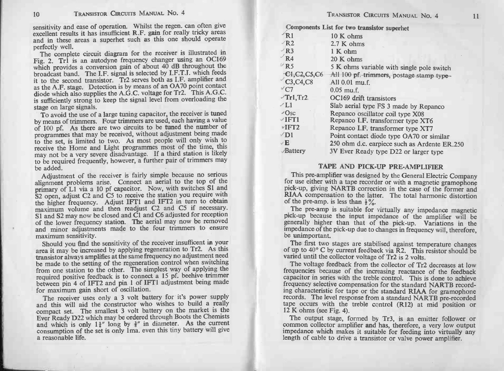|                | TRANSISTOR CIRCUITS MANUAL NO. 4                                                                                                                                                                                                                                                                                                   |                                                          | TRANSISTOR CIRCUITS MANUAL NO. 4                                                                                                                                                                                                                                                                                                                 | 11 |
|----------------|------------------------------------------------------------------------------------------------------------------------------------------------------------------------------------------------------------------------------------------------------------------------------------------------------------------------------------|----------------------------------------------------------|--------------------------------------------------------------------------------------------------------------------------------------------------------------------------------------------------------------------------------------------------------------------------------------------------------------------------------------------------|----|
|                | insitivity and ease of operation. Whilst the regen. can often give                                                                                                                                                                                                                                                                 |                                                          | Components List for two transistor superhet                                                                                                                                                                                                                                                                                                      |    |
|                | cellent results it has insufficient R.F. gain for really tricky areas                                                                                                                                                                                                                                                              | R1                                                       | 10 K ohms                                                                                                                                                                                                                                                                                                                                        |    |
|                | nd in these areas a superhet such as this one should operate                                                                                                                                                                                                                                                                       | $-R2$                                                    | 2.7 K ohms                                                                                                                                                                                                                                                                                                                                       |    |
| erfectly well. |                                                                                                                                                                                                                                                                                                                                    | $\nu$ R3                                                 |                                                                                                                                                                                                                                                                                                                                                  |    |
|                | The complete circuit diagram for the receiver is illustrated in                                                                                                                                                                                                                                                                    | $\sqrt{R4}$                                              | $1 K$ ohm                                                                                                                                                                                                                                                                                                                                        |    |
|                | ig. 2. Tr1 is an autodyne frequency changer using an OC169                                                                                                                                                                                                                                                                         | $\nu$ R5                                                 | 20 K ohms                                                                                                                                                                                                                                                                                                                                        |    |
|                | hich provides a conversion gain of about 40 dB throughout the<br>roadcast band. The I.F. signal is selected by I.F.T.I. which feeds                                                                                                                                                                                                |                                                          | 5 K ohms variable with single pole switch                                                                                                                                                                                                                                                                                                        |    |
|                | to the second transistor. Tr2 serves both as I.F. amplifier and                                                                                                                                                                                                                                                                    | $-CI$ , C <sub>2</sub> , C <sub>5</sub> , C <sub>6</sub> | All 100 pf. trimmers, postage stamp type-                                                                                                                                                                                                                                                                                                        |    |
|                | s the A.F. stage. Detection is by means of an OA70 point contact                                                                                                                                                                                                                                                                   | C3, C4, C8                                               | All $0.01$ mu.f.                                                                                                                                                                                                                                                                                                                                 |    |
|                | iode which also supplies the A.G.C. voltage for Tr2. This A.G.C.                                                                                                                                                                                                                                                                   | $\mathrm{^{\vee} C7}$                                    | $0.05$ mu.f.                                                                                                                                                                                                                                                                                                                                     |    |
|                | sufficiently strong to keep the signal level from overloading the                                                                                                                                                                                                                                                                  | $\mathcal{T}r1$ , Tr2.                                   | OC169 drift transistors                                                                                                                                                                                                                                                                                                                          |    |
|                | tage on large signals.                                                                                                                                                                                                                                                                                                             | $\angle L1$                                              | Slab aerial type FS 3 made by Repanco                                                                                                                                                                                                                                                                                                            |    |
|                | To avoid the use of a large tuning capacitor, the receiver is tuned                                                                                                                                                                                                                                                                | $\sqrt{O}$ sc                                            | Repanco oscillator coil type X08                                                                                                                                                                                                                                                                                                                 |    |
|                | y means of trimmers. Four trimmers are used, each having a value                                                                                                                                                                                                                                                                   | $\vee$ IFT1                                              | Repanco I.F. transformer type XT6                                                                                                                                                                                                                                                                                                                |    |
|                | f 100 pf. As there are two circuits to be tuned the number of                                                                                                                                                                                                                                                                      | $V$ IFT2                                                 | Repanco I.F. transformer type XT7                                                                                                                                                                                                                                                                                                                |    |
|                | rogrammes that may be received, without adjustment being made                                                                                                                                                                                                                                                                      | $\sqrt{D}1$                                              | Point contact diode type OA70 or similar                                                                                                                                                                                                                                                                                                         |    |
|                | o the set, is limited to two. As most people will only wish to<br>eceive the Home and Light programmes most of the time, this                                                                                                                                                                                                      | $\times$ E                                               | 250 ohm d.c. earpiece such as Ardente ER.250                                                                                                                                                                                                                                                                                                     |    |
|                | hay not be a very severe disadvantage. If a third station is likely                                                                                                                                                                                                                                                                | Battery                                                  | 3V Ever Ready type D22 or larger type                                                                                                                                                                                                                                                                                                            |    |
|                | o be required frequently, however, a further pair of trimmers may                                                                                                                                                                                                                                                                  |                                                          |                                                                                                                                                                                                                                                                                                                                                  |    |
| e added.       |                                                                                                                                                                                                                                                                                                                                    |                                                          | <b>TAPE AND PICK-UP PRE-AMPLIFIER</b>                                                                                                                                                                                                                                                                                                            |    |
|                | Adjustment of the receiver is fairly simple because no serious<br>lignment problems arise. Connect an aerial to the top of the<br>rimary of L1 via a 10 pf capacitor. Now, with switches S1 and<br>2 open, adjust C2 and C5 to receive the station you require with<br>he higher frequency. Adjust IFT1 and IFT2 in turn to obtain |                                                          | This pre-amplifier was designed by the General Electric Company<br>for use either with a tape recorder or with a magnetic gramophone<br>pick-up, giving NARTB correction in the case of the former and<br>RIAA compensation to the latter. The total harmonic distortion<br>of the pre-amp. is less than $\frac{1}{2}\%$ .                       |    |
|                | naximum volume and then readjust C2 and C5 if necessary.<br>1 and S2 may now be closed and C1 and C6 adjusted for reception<br>of the lower frequency station. The aerial may now be removed<br>ind minor adjustments made to the four trimmers to ensure<br>naximum sensitivity.                                                  | be unimportant.                                          | The pre-amp is suitable for virtually any impedance magnetic<br>pick-up because the input impedance of the amplifier will be<br>generally higher than that of the pick-up. Variations in the<br>impedance of the pick-up due to changes in frequency will, therefore,                                                                            |    |
|                | Should you find the sensitivity of the receiver insufficent in your<br>rea it may be increased by applying regeneration to Tr2. As this<br>ransistor always amplifies at the same frequency no adjustment need<br>be made to the setting of the regeneration control when switching                                                |                                                          | The first two stages are stabilised against temperature changes<br>of up to 40° C by current feedback via R2. This resistor should be<br>varied until the collector voltage of Tr2 is 2 volts.                                                                                                                                                   |    |
|                | from one station to the other. The simplest way of applying the<br>equired positive feedback is to connect a 15 pf. beehive trimmer<br>between pin 4 of IFT2 and pin 1 of IFT1 adjustment being made<br>for maximum gain short of oscillation.                                                                                     |                                                          | The voltage feedback from the collector of Tr2 decreases at low<br>frequencies because of the increasing reactance of the feedback<br>capacitor in series with the treble control. This is done to achieve<br>frequency selective compensation for the standard NARTB record-<br>ing characteristic for tape or the standard RIAA for gramophone |    |
|                | The receiver uses only a 3 volt battery for it's power supply<br>and this will aid the constructor who wishes to build a really<br>compact set. The smallest 3 volt battery on the market is the<br>Ever Ready D22 which may be ordered through Boots the Chemists                                                                 | 12 K ohms (see Fig. 4).                                  | records. The level response from a standard NARTB pre-recorded<br>tape occurs with the treble control (R12) at mid position or<br>The output stage, formed by Tr3, is an emitter follower or                                                                                                                                                     |    |
|                | and which is only $1\frac{3}{4}$ " long by $\frac{3}{8}$ " in diameter. As the current<br>consumption of the set is only 1ma. even this tiny battery will give<br>a reasonable life.                                                                                                                                               |                                                          | common collector amplifier and has, therefore, a very low output<br>impedance which makes it suitable for feeding into virtually any<br>length of cable to drive a transistor or valve power amplifier.                                                                                                                                          |    |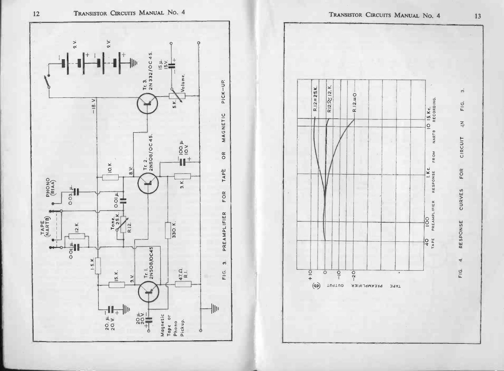



TRANSISTOR CIRCUITS MANUAL No. 4

TRANSISTOR CIRCUITS MANUAL NO. 4

13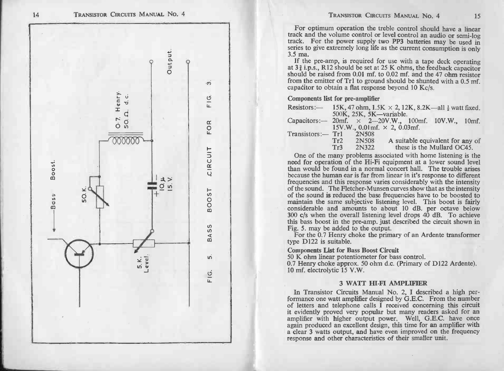

| $Resistors:$ —       | 500K, 25K, 5K-variable.               | 15K, 47 ohm, $1.5K \times 2$ , 12K, 8.2K—all $\frac{1}{2}$ watt fixed. |                                                                |
|----------------------|---------------------------------------|------------------------------------------------------------------------|----------------------------------------------------------------|
|                      | $15V.W., 0.01mf. \times 2, 0.03mf.$   | Capacitors: $-20$ mf. $\times$ 2 $-20$ V.W., 100mf. 10V.W., 10mf.      |                                                                |
| $Transistors := Tr1$ | 2N508<br>2N508<br>Tr2<br>2N322<br>Tr3 |                                                                        | A suitable equivalent for any of<br>these is the Mullard OC45. |

TRANSISTON CIRCUITS MANUAL No. 4<br>
For optimum operation the treble control should have a linear<br>
track and the volume control of level control and the volume simple log-<br>
track. For the power tupply two PP3 batteries may

10 mf. electrolytic 15 V.W.<br>3 WATT HI-FI AMPLIFIER<br>In Transistor Circuits Manual No. 2, I described a high per-

formance one watt amplifier designed by G.E.C. From the number of letters and telephone calls I received concerning this circuit it evidently proved very popular but many readers asked for an In Transistor Circuits Manual No. 2, I described a high per-<br>formance one watt amplifier designed by G.E.C. From the number<br>of letters and telephone calls I received concerning this circuit<br>it evidently proved very popular response and other characteristics of their smaller unit.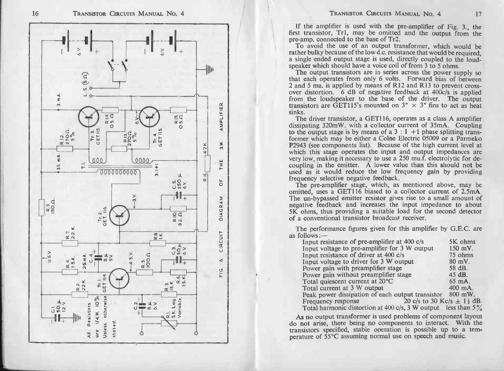

IF TRANSISTOR CIRCUITS MANUAL NO. 4 17<br>If the amplifier is used with the pre-amplifier of Fig. 3., the first transistor, Tr<sub>1</sub>, may be omitted and the output from the pre -amplifier is used with the pre-amplifier of Fig. 3, the first transistor, Tr1, may be omitted and the output from the pre-amp. connected to the base of Tr2.<br>To avoid the use of an output transformer, which would be

pre-amp. connected to the base of Tr2.<br>To avoid the use of an output transformer, which would be required,<br>rather bulky because of the low d.c. resistance that would be required,<br>a single ended output stage is used, direct a single ended output stage is used, directly coupled to the loud-<br>speaker which should have a voice coil of from 3 to 5 ohms.<br>The output transistors are in series across the power supply so

that each operates from only 6 volts. Forward bias of between 2 and 5 ma, is applied by means of R12 and R13 to prevent crossover distortion. 6 dB of negative feedback at  $400c/s$  is applied transistors are GET115's mounted on  $3'' \times 3''$  fins to act as heat sinks.

from the loudspeaker to the base of the driver. The output<br>transistors are GET115's mounted on  $3'' \times 3''$  fins to act as heat<br>sinks.<br>The driver transistor, a GET116, operates as a class A amplifier<br>dissipating 320mW. with former which may be either a Colne Electric 05009 or a Parmeko P2943 (see components list). Because of the high current level at which this stage operates the input and output impedances are very low, making is either a Colne Electric 05009 or a Parmekon-<br>P2943 (see components list). Because of the high current level at<br>which this stage operates the input and output impedances are<br>very low, making it necessary frequency selective negative negative negative feedback. The pre-amplifier stage, which, as mentioned above, may be omitted, uses a GET116 biased to a collector current of 2.5mA.

frequency selective negative feedback.<br>The pre-amplifier stage, which, as mentioned above, may be<br>omitted, uses a GET116 biased to a collector current of 2.5mA.<br>The un-bypassed emitter resistor gives rise to a small amount negative feedback and increases, when, as increased to a collector current of 2,5mA.<br>The un-bypassed emitter resistor gives rise to a small amount of<br>negative feedback and increases the input impedance to about<br>5K ohms, th negative feedback and increases the input imped<br>5K ohms, thus providing a suitable load for the s<br>of a conventional transistor broadcast receiver.<br>The performance figures given for this amplifier<br>as follows:--

| The un-bypassed emitter resistor gives rise to a small amount of<br>negative feedback and increases the input impedance to about<br>5K ohms, thus providing a suitable load for the second detector<br>of a conventional transistor broadcast receiver. |                   |
|---------------------------------------------------------------------------------------------------------------------------------------------------------------------------------------------------------------------------------------------------------|-------------------|
| The performance figures given for this amplifier by G.E.C. are<br>as follows:—                                                                                                                                                                          |                   |
| Input resistance of pre-amplifier at 400 $c/s$                                                                                                                                                                                                          | 5K ohms           |
| Input voltage to pre-amplifier for 3 W output                                                                                                                                                                                                           | 150 mV.           |
| Input resistance of driver at 400 c/s                                                                                                                                                                                                                   | 75 ohms           |
| Input voltage to driver for 3 W output                                                                                                                                                                                                                  | $80 \text{ mV}$ . |
| Power gain with preamplifier stage                                                                                                                                                                                                                      | 58 dB.            |
| Power gain without preamplifier stage                                                                                                                                                                                                                   | $45 \text{ dB}$ . |
| Total quiescent current at 20 °C                                                                                                                                                                                                                        | $65 \text{ mA}$ . |
| Total current at 3 W output                                                                                                                                                                                                                             | $400$ mA.         |
| Peak power dissipation of each output transistor 800 mW.                                                                                                                                                                                                |                   |
| 20 c/s to 30 Kc/s $\pm$ 1 $\frac{1}{2}$ dB.<br>Frequency response                                                                                                                                                                                       |                   |
| Total harmonic distortion at 400 c/s, 3 W output less than $5\%$                                                                                                                                                                                        |                   |
| As no output transformer is used problems of component layout                                                                                                                                                                                           |                   |
| do not arise, there being no components to interact. With the                                                                                                                                                                                           |                   |
| transistors specified, stable operation is possible up to a tem-                                                                                                                                                                                        |                   |
| perature of 55°C assuming normal use on speech and music.                                                                                                                                                                                               |                   |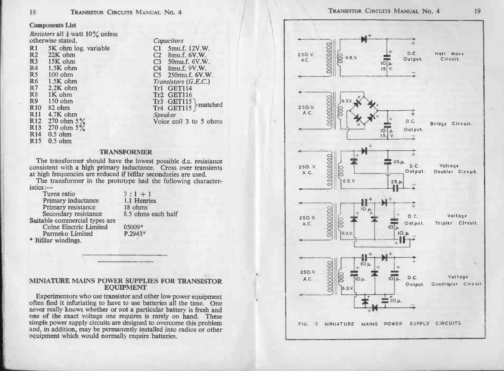18 **TRANSISTOR CIR**<br>Components List<br>*Resistors* all  $\frac{1}{4}$  watt 10% unless Components List<br>Resistors all  $\frac{1}{4}$  watt 10% unless<br>otherwise stated. Capacitors Components List<br>
Resistors all  $\frac{1}{4}$  watt 10% unless<br>
otherwise stated.<br>
R1 5K ohm log. variable C1 5mu.f. 12V.W. TRANSISTOR CIRCUITS MANUAL No. 4<br> **Components List**<br>
Resistors all  $\frac{1}{4}$  watt 10% unless<br>
otherwise stated.<br>
R1 5K ohm log. variable<br>
R2 22K ohm C2 8mu.f. 6V.W.

|                 |                         | $\sim$ 0.000 0.000 0.000 0.000 0.000 0.000 0.000 0.000 0.000 0.000 0.000 0.000 0.000 0.000 0.000 0.000 0.000 0.000 0.000 0.000 0.000 0.000 0.000 0.000 0.000 0.000 0.000 0.000 0.000 0.000 0.000 0.000 0.000 0.000 0.000 0.000 |
|-----------------|-------------------------|--------------------------------------------------------------------------------------------------------------------------------------------------------------------------------------------------------------------------------|
| R1              | 5K ohm log. variable    | $C1$ 5 mu.f. 12 V.W.                                                                                                                                                                                                           |
| R2              | 22K ohm                 | C2<br>8mu.f. 6V.W.                                                                                                                                                                                                             |
| R3              | $15K$ ohm               | C3 50mu.f. 6V.W.                                                                                                                                                                                                               |
| R <sub>4</sub>  | $1.5K$ ohm              | C4 8mu.f. 9V.W.                                                                                                                                                                                                                |
| R <sub>5</sub>  | $100$ ohm               | C5 250mu.f. 6V.W.                                                                                                                                                                                                              |
| R6              | $1.5K$ ohm              | Transistors (G.E.C.)                                                                                                                                                                                                           |
| R7              | $2.2K$ ohm              | Tr1 GET114                                                                                                                                                                                                                     |
| R8              | 1K ohm                  | Tr <sub>2</sub> GET116                                                                                                                                                                                                         |
| R9              | $150$ ohm               |                                                                                                                                                                                                                                |
| R <sub>10</sub> | 82 ohm                  | Tr3 GET115 matched<br>Tr4 GET115 matched                                                                                                                                                                                       |
| R11             | $4.7K$ ohm              | <b>Speaker</b>                                                                                                                                                                                                                 |
| R <sub>12</sub> | 270 ohm $5\%$           | Voice coil 3 to 5 ohms                                                                                                                                                                                                         |
| R13             | 270 ohm $5\%$           |                                                                                                                                                                                                                                |
|                 | R <sub>14</sub> 0.5 ohm |                                                                                                                                                                                                                                |
| R <sub>15</sub> | $0.5$ ohm               |                                                                                                                                                                                                                                |

18 **TRANSISTOR CIRCUITS MANUAL No. 4**<br> **Components List**<br>
Resistors all 1 watt 10% unless<br>
otherwise stated. Capacitors<br>
R1 5K ohm log. variable C1 5mu.f. 12V.W.<br>
R2 22K ohm C2 8mu.f. 6V.W.<br>
R3 15K ohm C3 50mu.f. 6V.W. Components List<br>
Resistors all 1 watt 10% unless<br>
otherwise stated.<br>
R1 5K ohm log. variable<br>
R2 22K ohm C2 8mu.f. 6V.W.<br>
R3 15K ohm C3 50mu.f. 6V.W.<br>
R4 1.5K ohm C4 8mu.f. 9V.W. Components List<br>
Resistors all 1 watt 10% unless<br>
otherwise stated.<br>
R1 5K ohm log. variable<br>
R2 22K ohm C2 8mu.f. 6V.W.<br>
R3 15K ohm C3 50mu.f. 6V.W.<br>
R5 100 ohm C4 8mu.f. 9V.W.<br>
R5 100 ohm C4 8mu.f. 9V.W. Resistors all  $\frac{1}{8}$  watt 10% unless<br>
otherwise stated.<br>
R1 5K ohm log. variable<br>
R2 22K ohm C2 8mu.f. 6V.W.<br>
R3 15K ohm C3 50mu.f. 6V.W.<br>
R5 100 ohm C5 250mu.f. 6V.W.<br>
R6 1.5K ohm C5 250mu.f. 6V.W.<br>
R7 2.2K ohm Transis Tr3 GET115 matched<br>Tr4 GET115 matched<br>Speaker<br>Voice coil 3 to 5 ohms<br>TRANSFORMER

The transformer should have the lowest possible d.c. resistance TRANSFORMER<br>The transformer should have the lowest possible d.c. resistance<br>consistent with a high primary inductance. Cross over transients The transformer should have the lowest possible d.c. resistance<br>consistent with a high primary inductance. Cross over transients<br>at high frequencies are reduced if bifilar secondaries are used.<br>The transformer in the prot

gh frequencies are reduced if bifilar seconditions that the prototype had the  $\frac{11}{11}$ <br>Turns ratio  $\frac{3}{11}$  + 1<br>Primary inductance  $\frac{11}{11}$  Henries

e transformer in the prototype had<br>
:--<br>
Turns ratio 3 : 1 +<br>
Primary inductance 1.1 Hen<br>
Primary resistance 18 ohms Secondary inductance 3 : 1 + 1<br>
Primary inductance 1.1 Henries<br>
Primary resistance 18 ohms<br>
Secondary resistance 8.5 ohms each half<br>
Suitable commercial types are Frimary inductance<br>
Primary resistance<br>
Secondary resistance<br>
Secondary resistance<br>
ble commercial types are<br>
Colne Electric Limited 05009\* Primary inductance<br>
Primary resistance 18 ohm<br>
Secondary resistance 8.5 ohn<br>
colne Electric Limited 05009\*<br>
Parmeko Limited P.2943\* \* Colne Electric Limited<br>Parmeko Limited<br>\* Bifilar windings. \* Bifilar windings.<br>
\* Bifilar windings.<br>
MINIATURE MAINS POWER SUPPLIES FOR TRANSISTOR

## EQUIPMENT MINIATURE MAINS POWER SUPPLIES FOR TRANSISTOR<br>Experimentors who use transistor and other low power equipment<br>often find it infuriating to have to use batteries all the time. One

MINIATURE MAINS POWER SUPPLIES FOR TRANSISTOR<br>EQUIPMENT<br>for not a particular batteries all the time. One<br>never really knows whether or not a particular battery is fresh and<br>one of the exact voltage one requires is rarely o never really knows whether or not a particular battery is fresh and<br>one of the exact voltage one requires is rarely on hand. These<br>simple power supply circuits are designed to overcome this problem<br>and, in addition, may be

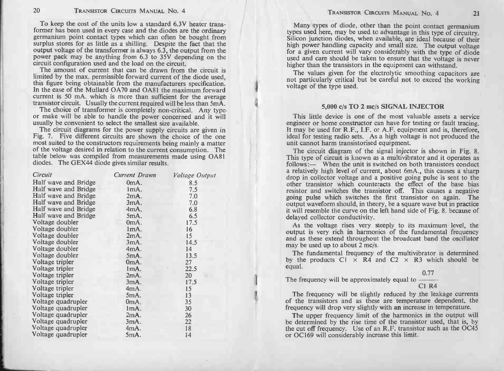| 20                                                                                                                                                                                                                                                                                                                                                                                                                                                                                                                                                                                                                                                                                                                                                          | <b>TRANSISTOR CIRCUITS MANUAL NO. 4</b> |                       | TRANSISTOR CIRCUITS MANUAL NO. 4<br>21                                                                                                                                                                                                                                                                                                                                                                                                                                                                                                                                                                                                                      |
|-------------------------------------------------------------------------------------------------------------------------------------------------------------------------------------------------------------------------------------------------------------------------------------------------------------------------------------------------------------------------------------------------------------------------------------------------------------------------------------------------------------------------------------------------------------------------------------------------------------------------------------------------------------------------------------------------------------------------------------------------------------|-----------------------------------------|-----------------------|-------------------------------------------------------------------------------------------------------------------------------------------------------------------------------------------------------------------------------------------------------------------------------------------------------------------------------------------------------------------------------------------------------------------------------------------------------------------------------------------------------------------------------------------------------------------------------------------------------------------------------------------------------------|
| To keep the cost of the units low a standard 6.3V heater trans-<br>former has been used in every case and the diodes are the ordinary<br>germanium point contact types which can often be bought from<br>surplus stores for as little as a shilling. Despite the fact that the<br>output voltage of the transformer is always 6.3, the output from the<br>power pack may be anything from 6.3 to 35V depending on the<br>circuit configuration used and the load on the circuit.<br>The amount of current that can be drawn from the circuit is<br>limited by the max. permissible forward current of the diode used,<br>this figure being obtainable from the manufacturers specification.<br>In the case of the Mullard OA70 and OA81 the maximum forward |                                         |                       | Many types of diode, other than the point contact germanium<br>types used here, may be used to advantage in this type of circuitry.<br>Silicon junction diodes, when available, are ideal because of their<br>high power handling capacity and small size. The output voltage<br>for a given current will vary considerably with the type of diode<br>used and care should be taken to ensure that the voltage is never<br>higher than the transistors in the equipment can withstand.<br>The values given for the electrolytic smoothing capacitors are<br>not particularly critical but be careful not to exceed the working<br>voltage of the type used. |
| current is 50 mA. which is more than sufficient for the average<br>transistor circuit. Usually the current required will be less than 5mA.                                                                                                                                                                                                                                                                                                                                                                                                                                                                                                                                                                                                                  |                                         |                       | 5,000 c/s TO 2 mc/s SIGNAL INJECTOR                                                                                                                                                                                                                                                                                                                                                                                                                                                                                                                                                                                                                         |
| The choice of transformer is completely non-critical. Any type-                                                                                                                                                                                                                                                                                                                                                                                                                                                                                                                                                                                                                                                                                             |                                         |                       |                                                                                                                                                                                                                                                                                                                                                                                                                                                                                                                                                                                                                                                             |
| or make will be able to handle the power concerned and it will<br>usually be convenient to select the smallest size available.<br>The circuit diagrams for the power supply circuits are given in<br>Fig. 7. Five different circuits are shown the choice of the one<br>most suited to the constructors requirements being mainly a matter<br>of the voltage desired in relation to the current consumption. The<br>table below was compiled from measurements made using OA81<br>diodes. The GEX44 diode gives similar results.                                                                                                                                                                                                                            |                                         |                       | This little device is one of the most valuable assets a service<br>engineer or home constructor can have for testing or fault tracing.<br>It may be used for R.F., I.F. or A.F. equipment and is, therefore,<br>ideal for testing radio sets. As a high voltage is not produced the<br>unit cannot harm transistorised equipment.<br>The circuit diagram of the signal injector is shown in Fig. 8.<br>This type of circuit is known as a multivibrator and it operates as                                                                                                                                                                                  |
|                                                                                                                                                                                                                                                                                                                                                                                                                                                                                                                                                                                                                                                                                                                                                             |                                         |                       | follows:— When the unit is switched on both transistors conduct                                                                                                                                                                                                                                                                                                                                                                                                                                                                                                                                                                                             |
| Circuit                                                                                                                                                                                                                                                                                                                                                                                                                                                                                                                                                                                                                                                                                                                                                     | Current Drawn                           | <i>Voltage Output</i> | a relatively high level of current, about 6mA., this causes a sharp<br>drop in collector voltage and a positive going pulse is sent to the                                                                                                                                                                                                                                                                                                                                                                                                                                                                                                                  |
| Half wave and Bridge                                                                                                                                                                                                                                                                                                                                                                                                                                                                                                                                                                                                                                                                                                                                        | 0mA.                                    | 8.5                   | other transistor which counteracts the effect of the base bias                                                                                                                                                                                                                                                                                                                                                                                                                                                                                                                                                                                              |
| Half wave and Bridge                                                                                                                                                                                                                                                                                                                                                                                                                                                                                                                                                                                                                                                                                                                                        | 1mA.                                    | 7.5                   | resistor and switches the transistor off. This causes a negative                                                                                                                                                                                                                                                                                                                                                                                                                                                                                                                                                                                            |
| Half wave and Bridge                                                                                                                                                                                                                                                                                                                                                                                                                                                                                                                                                                                                                                                                                                                                        | 2mA.                                    | 7.0                   | going pulse which switches the first transistor on again. The                                                                                                                                                                                                                                                                                                                                                                                                                                                                                                                                                                                               |
| Half wave and Bridge                                                                                                                                                                                                                                                                                                                                                                                                                                                                                                                                                                                                                                                                                                                                        | 3mA.                                    | 7.0                   | output waveform should, in theory, be a square wave but in practice                                                                                                                                                                                                                                                                                                                                                                                                                                                                                                                                                                                         |
| Half wave and Bridge                                                                                                                                                                                                                                                                                                                                                                                                                                                                                                                                                                                                                                                                                                                                        | 4mA.                                    | 6.8                   | it will resemble the curve on the left hand side of Fig. 8. because of                                                                                                                                                                                                                                                                                                                                                                                                                                                                                                                                                                                      |
| Half wave and Bridge                                                                                                                                                                                                                                                                                                                                                                                                                                                                                                                                                                                                                                                                                                                                        | 5mA.                                    | 6.5                   | delayed collector conductivity.                                                                                                                                                                                                                                                                                                                                                                                                                                                                                                                                                                                                                             |
| Voltage doubler                                                                                                                                                                                                                                                                                                                                                                                                                                                                                                                                                                                                                                                                                                                                             | 0mA.                                    | 17.5                  | As the voltage rises very steeply to its maximum level, the                                                                                                                                                                                                                                                                                                                                                                                                                                                                                                                                                                                                 |
| Voltage doubler                                                                                                                                                                                                                                                                                                                                                                                                                                                                                                                                                                                                                                                                                                                                             | ImA.                                    | 16                    | output is very rich in harmonics of the fundamental frequency                                                                                                                                                                                                                                                                                                                                                                                                                                                                                                                                                                                               |
| Voltage doubler                                                                                                                                                                                                                                                                                                                                                                                                                                                                                                                                                                                                                                                                                                                                             | 2mA.                                    | 15                    | and as these extend throughout the broadcast band the oscillator                                                                                                                                                                                                                                                                                                                                                                                                                                                                                                                                                                                            |
| Voltage doubler                                                                                                                                                                                                                                                                                                                                                                                                                                                                                                                                                                                                                                                                                                                                             | 3mA.                                    | 14.5                  | may be used up to about 2 mc/s.                                                                                                                                                                                                                                                                                                                                                                                                                                                                                                                                                                                                                             |
| Voltage doubler                                                                                                                                                                                                                                                                                                                                                                                                                                                                                                                                                                                                                                                                                                                                             | 4mA.                                    | 14                    | The fundamental frequency of the multivibrator is determined                                                                                                                                                                                                                                                                                                                                                                                                                                                                                                                                                                                                |
| Voltage doubler                                                                                                                                                                                                                                                                                                                                                                                                                                                                                                                                                                                                                                                                                                                                             | 5mA.                                    | 13.5                  | by the products $Cl \times R4$ and $C2 \times R3$ which should be                                                                                                                                                                                                                                                                                                                                                                                                                                                                                                                                                                                           |
| Voltage tripler                                                                                                                                                                                                                                                                                                                                                                                                                                                                                                                                                                                                                                                                                                                                             | 0mA.                                    | 27                    | equal.                                                                                                                                                                                                                                                                                                                                                                                                                                                                                                                                                                                                                                                      |
| Voltage tripler                                                                                                                                                                                                                                                                                                                                                                                                                                                                                                                                                                                                                                                                                                                                             | 1mA.                                    | 22.5                  | 0.77                                                                                                                                                                                                                                                                                                                                                                                                                                                                                                                                                                                                                                                        |
| Voltage tripler                                                                                                                                                                                                                                                                                                                                                                                                                                                                                                                                                                                                                                                                                                                                             | 2mA.                                    | 20                    | The frequency will be approximately equal to -                                                                                                                                                                                                                                                                                                                                                                                                                                                                                                                                                                                                              |
| Voltage tripler                                                                                                                                                                                                                                                                                                                                                                                                                                                                                                                                                                                                                                                                                                                                             | 3mA.                                    | 17.5                  | $C1$ R4                                                                                                                                                                                                                                                                                                                                                                                                                                                                                                                                                                                                                                                     |
| Voltage tripler                                                                                                                                                                                                                                                                                                                                                                                                                                                                                                                                                                                                                                                                                                                                             | 4mA.                                    | 15                    | The frequency will be slightly reduced by the leakage currents                                                                                                                                                                                                                                                                                                                                                                                                                                                                                                                                                                                              |
| Voltage tripler<br>Voltage quadrupler                                                                                                                                                                                                                                                                                                                                                                                                                                                                                                                                                                                                                                                                                                                       | 5mA.                                    | 13<br>35              | of the transistors and as these are temperature dependent, the                                                                                                                                                                                                                                                                                                                                                                                                                                                                                                                                                                                              |
| Voltage quadrupler                                                                                                                                                                                                                                                                                                                                                                                                                                                                                                                                                                                                                                                                                                                                          | 0mA.<br>lmA.                            | 30                    | frequency will drop very slightly with an increase in temperature.                                                                                                                                                                                                                                                                                                                                                                                                                                                                                                                                                                                          |
| Voltage quadrupler                                                                                                                                                                                                                                                                                                                                                                                                                                                                                                                                                                                                                                                                                                                                          | 2mA.                                    | 26                    |                                                                                                                                                                                                                                                                                                                                                                                                                                                                                                                                                                                                                                                             |
| Voltage quadrupler                                                                                                                                                                                                                                                                                                                                                                                                                                                                                                                                                                                                                                                                                                                                          | 3mA.                                    | 22                    | The upper frequency limit of the harmonics in the output will<br>be determined by the rise time of the transistor used, that is, by                                                                                                                                                                                                                                                                                                                                                                                                                                                                                                                         |
| Voltage quadrupler                                                                                                                                                                                                                                                                                                                                                                                                                                                                                                                                                                                                                                                                                                                                          | 4mA.                                    | 18                    | the cut off frequency. Use of an R.F. transistor such as the OC45                                                                                                                                                                                                                                                                                                                                                                                                                                                                                                                                                                                           |
| Voltage quadrupler                                                                                                                                                                                                                                                                                                                                                                                                                                                                                                                                                                                                                                                                                                                                          | 5mA.                                    | 14                    | or OC169 will considerably increase this limit.                                                                                                                                                                                                                                                                                                                                                                                                                                                                                                                                                                                                             |
|                                                                                                                                                                                                                                                                                                                                                                                                                                                                                                                                                                                                                                                                                                                                                             |                                         |                       |                                                                                                                                                                                                                                                                                                                                                                                                                                                                                                                                                                                                                                                             |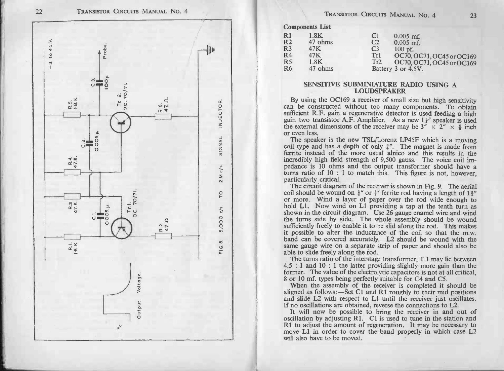

|                                                                                    |                                                              | TRANSISTOR CIRCUITS MANUAL NO. 4                     |                                                                                                                         |    |
|------------------------------------------------------------------------------------|--------------------------------------------------------------|------------------------------------------------------|-------------------------------------------------------------------------------------------------------------------------|----|
|                                                                                    | <b>Components List</b>                                       |                                                      |                                                                                                                         | 23 |
| $\overline{R}1$<br>R <sub>2</sub><br>R3<br>$\overline{R4}$<br>R <sub>5</sub><br>R6 | 1.8K<br>47 ohms<br>47K<br>47K<br>1.8 <sub>K</sub><br>47 ohms | C1<br>C <sub>2</sub><br>C <sub>3</sub><br>Tr1<br>Tr2 | $0.005$ mf.<br>$0.005$ mf.<br>$100$ pf.<br>OC70, OC71, OC45 or OC169<br>OC70, OC71, OC45 or OC169<br>Battery 3 or 4.5V. |    |

## SENSITIVE SUBMINIATURE RADIO USING A LOUDSPEAKER

R6 47 ohms Battery 3 or 4.5V.<br>
SENSITIVE SUBMINIATURE RADIO USING A<br>
LOUDSPEAKER<br>
By using the OC169 a receiver of small size but high sensitivity<br>
can be constructed without too many components. To obtain SENSITIVE SUBMINIATURE RADIO USING A<br>LOUDSPEAKER<br>By using the OC169 a receiver of small size but high sensitivity<br>can be constructed without too many components. To obtain<br>sufficient R.F. gain a regenerative detector is us **EXECUTE:** EVALUATE By using the OC169 a receiver of small size but high sensitivity<br>can be constructed without too many components. To obtain<br>sufficient R.F. gain a regenerative detector is used feeding a high<br>gain two t

The speaker is the new TSL/Lorenz LP45F which is a moving coil type and has a depth of only  $\frac{3}{4}$ . The magnet is made from ferrite instead of the more usual alnico and this results in the incredibly high field strengt pedance is 10 ohms and the output transformer should have a turns ratio of 10 : 1 to match this. This figure is not, however particularly critical.<br>The circuit diagram of the receiver is shown in Fig. 9. The aeria coil sh

pedance is 10 ohms and the output transformer should have a turns ratio of 10 : 1 to match this. This figure is not, however, particularly critical.<br>The circuit diagram of the receiver is shown in Fig. 9. The aerial coil particularly critical.<br>The circuit diagram of the receiver is shown in Fig. 9. The aerial<br>coil should be wound on  $\frac{1}{4}$ " or  $\frac{3}{8}$ " ferrite rod having a length of  $1\frac{3}{4}$ "<br>or more. Wind a layer of paper over the the turns side by side. The whole assembly should be wound sufficiently freely to enable it to be slid along the rod. This makes it possible to alter the inductance of the coil so that the m.w. band can be covered accurate it possible to alter the inductance of the coil so that the m.w.<br>band can be covered accurately. L2 should be wound with the<br>same gauge wire on a separate strip of paper and should also be<br>able to slide freely along the ro

band can be covered accurately. L2 should be wound with the same gauge wire on a separate strip of paper and should also be able to slide freely along the rod.<br>The turns ratio of the interstage transformer, T.1 may lie be The turns ratio of the interstage transformer, T.1 may lie between<br>4.5 : 1 and 10 : 1 the latter providing slightly more gain than the<br>former. The value of the electrolytic capacitors is **not** at all critical,<br>8 or 10 mf.

When the assembly of the receiver is completed it should be aligned as follows:—Set C1 and R1 roughly to their mid positions and slide L2 with respect to L1 until the receiver just oscillates. If no oscillations are obtai

R1 to adjust the amount of regeneration. It may be necessary to move L1 in order to cover the band properly in which case L2 will also have to be moved.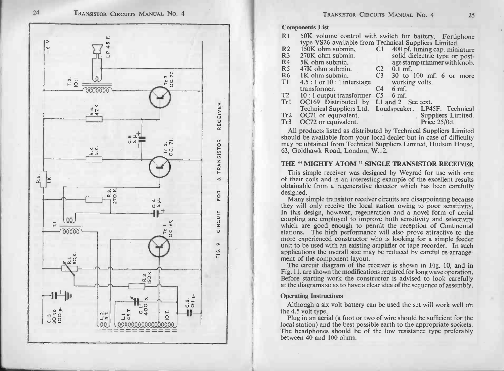

| R <sub>1</sub>  |                                         | 50K volume control with switch for battery. Fortiphone |
|-----------------|-----------------------------------------|--------------------------------------------------------|
|                 |                                         | type VS26 available from Technical Suppliers Limited.  |
| R <sub>2</sub>  | 150K ohm submin.                        | 400 pf. tuning cap. miniature<br>C1                    |
| R <sub>3</sub>  | 270K ohm submin.                        | solid dielectric type or post-                         |
| R4              | 5K ohm submin.                          | age stamp trimmer with knob.                           |
| R <sub>5</sub>  | 47K ohm submin.                         | C <sub>2</sub><br>$0.1$ mf.                            |
| <b>R6</b>       | $1K$ ohm submin.                        | C <sub>3</sub><br>30 to 100 mf, 6 or more              |
| T <sub>1</sub>  | $4.5:1$ or $10:1$ interstage            | working volts.                                         |
|                 | transformer.                            | C4<br>6 <sub>mf</sub>                                  |
| T <sub>2</sub>  | 10 : 1 output transformer               | C <sub>5</sub><br>6 <sub>mf</sub>                      |
| Tri             | OC169 Distributed by L1 and 2 See text. |                                                        |
|                 | <b>Technical Suppliers Ltd.</b>         | Loudspeaker. LP45F. Technical                          |
| Tr2             | OC71 or equivalent.                     | Suppliers Limited.                                     |
| Tr <sub>3</sub> | OC72 or equivalent.                     | Price 25/0d.                                           |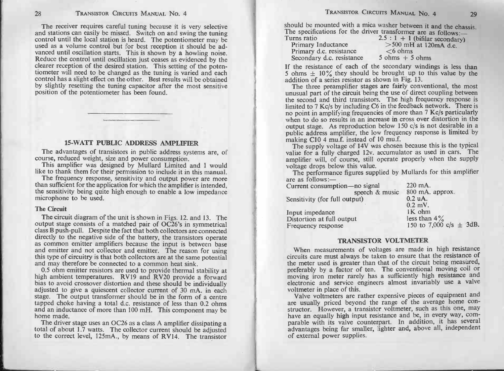The receiver requires careful tuning because it is very selective<br>and stations can easily be missed. Switch on and swing the tuning<br>control until the local station is heard. The potentiometer may be<br>used as a volume contro and stations can easily be missed. Switch on and swing the tuning control until the local station is heard. The potentiometer may be used as a volume control but for best reception it should be advanced until oscillation s wanced until oscillation starts. This is shown by a howling noise.<br>Reduce the control until oscillation just ceases as evidenced by the<br>clearer reception of the desired station. This setting of the poten-<br>tiometer will nee clearer reception of the desired station. This setting of the potentiometer will need to be changed as the tuning is varied and each control has a slight effect on the other. Best results will be obtained by slightly reset by slightly resetting the tuning capacitor after the most sensitive 28. The scenarios concerns Maxsum And 4<br>
The scenarios concerns and the scenarios of the scenarios of the scenarios of the scenarios of the scenarios of the scenarios of the scenarios of the scenarios of the scenarios of

## 15 -WATT PUBLIC ADDRESS AMPLIFIER

The advantages of transistors in public address systems are, of course, reduced weight, size and power consumption. **COURGE 15-WATT PUBLIC ADDRESS AMPLIFIER**<br>The advantages of transistors in public address systems are, of<br>course, reduced weight, size and power consumption.<br>This amplifier was designed by Mullard Limited and I would<br>like

The advantages of transistors in public address systems are, of course, reduced weight, size and power consumption.<br>This amplifier was designed by Mullard Limited and I would like to thank them for their permission to incl This amplifier was designed by Mullard Limited and I would<br>like to thank them for their permission to include it in this manual.<br>The frequency response, sensitivity and output power are more<br>than sufficient for the applica microphone to be used.<br>The Circuit Exensitivity being quite high enough to enable a low impedance<br>crophone to be used.<br>**Circuit**<br>The circuit diagram of the unit is shown in Figs. 12. and 13. The

The Circuit<br>The circuit diagram of the unit is shown in Figs. 12. and 13. The<br>output stage consists of a matched pair of OC26's in symmetrical The Circuit<br>The Circuit diagram of the unit is shown in Figs. 12. and 13. The<br>putput stage consists of a matched pair of OC26's in symmetrical<br>class B push-pull. Despite the fact that both collectors are connected The Circuit<br>The circuit diagram of the unit is shown in Figs. 12. and 13. The<br>output stage consists of a matched pair of OC26's in symmetrical<br>class B push-pull. Despite the fact that both collectors are connected<br>directly and emitter and not collector and emitter. The reason for using<br>this type of circuitry is that both collectors are at the same potential<br>and may therefore be connected to a common heat sink.<br>0.5 ohm emitter resistors are u as common emitter amplifiers because the input is between based and emitter and not collector and emitter. The reason for using this type of circuitry is that both collectors are at the same potential and may therefore be

and may therefore be connected to a common heat sink.<br>0.5 ohm emitter resistors are used to provide thermal stability at<br>high ambient temperatures. RV19 and RV20 provide a forward<br>bias to avoid crossover distortion and the tapped choke having a total d.c. resistance of less than 0.2 ohms and an inductance of more than 100 mH. This component may be home made.

| Current consumption-no signal | $220 \text{ mA}$ .          |
|-------------------------------|-----------------------------|
| speech & music                | 800 mA, approx.             |
| Sensitivity (for full output) | $0.2$ uA.                   |
|                               | $0.2$ mV.                   |
| Input impedance               | $1K$ ohm                    |
| Distortion at full output     | less than $4\%$             |
| Frequency response            | 150 to 7,000 c/s $\pm$ 3dB. |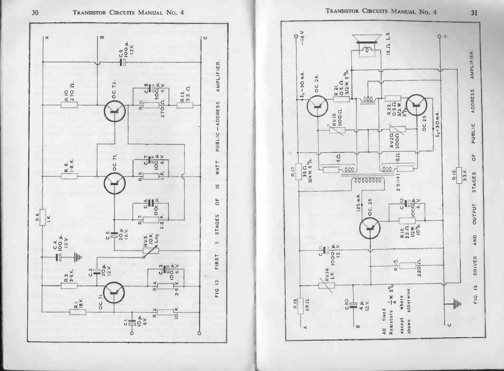



 $\overline{0}$ 30

 $31$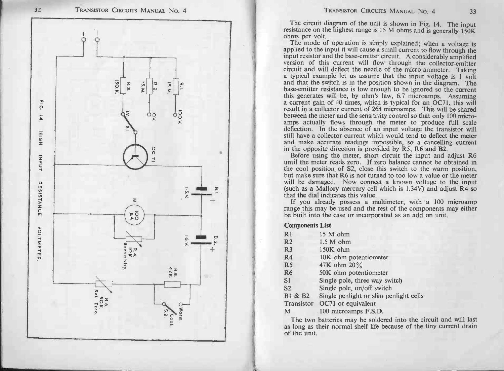

TRANSISTOR CIRCUITS MANUAL No. 4 33<br>The circuit diagram of the unit is shown in Fig. 14. The input<br>resistance on the highest range is 15 M ohms and is generally 150K<br>ohms per volt. The circuit diagram of the unit is shown in Fig. 14. The input<br>istance on the highest range is 15 M ohms and is generally 150K<br>ms per volt.<br>The mode of operation is simply explained; when a voltage is

The circuit diagram of the unit is shown in Fig. 14. The input<br>resistance on the highest range is 15 M ohms and is generally 150K<br>ohms per volt.<br>The mode of operation is simply explained; when a voltage is<br>applied to the i a typical example let us assume that the input voltage is 1 volt<br>and that the switch is in the position shown in the diagram. The<br>base-emitter resistance is low enough to be ignored so the current circuit and will deflect the needle of the micro-ammeter. Taking a typical example let us assume that the input voltage is 1 voltand that the switch is in the position shown in the diagram. The base-emitter resistance is l a current gain of 40 times, which is typical for an OC71, this will result in a collector current of 268 microamps. This will be shared between the meter and the sensitivity control so that only 100 micro-<br>amps actually fl base-emitter resistance is low enough to be ignored so the current this generates will be, by ohm's law, 6.7 microamps. Assuming a current gain of 40 times, which is typical for an OC71, this will result in a collector cur still have a collector current which would tend to deflect the meter<br>and make accurate readings impossible, so a cancelling current<br>in the opposite direction is provided by R5, R6 and B2.

Before using the meter, short circuit the input and adjust R6 until the meter reads zero. If zero balance cannot be obtained in Before using the meter, short circuit the input and adjust R6<br>until the meter reads zero. If zero balance cannot be obtained in<br>the cool position, of S2, close this switch to the warm position,<br>but make sure that R6 is not e cool position of S2, close this switch to the warm position<br>it make sure that R6 is not turned to too low a value or the meter<br>Il be damaged. Now connect a known voltage to the inpu<br>ich as a Mallory mercury cell which is (such as a Mallory mercury cell which is  $1.34V$ ) and adjust  $R\overline{4}$  so that the dial indicates this value.<br>If you already possess a multimeter, with a 100 microamp range this may be used and the rest of the components

the built into the<br>Components List will be daniaged. Not<br>
(such as a Mallory me<br>
that the dial indicates t<br>
If you already pos<br>
range this may be used<br>
be built into the case of<br>
Components List<br>
R1 15 M ohm Final the dial indicates the standard post that is may be used<br>the built into the case of<br>Components List<br>R1 15 M ohm<br>R2 1.5 M ohm

|                        | If you already possess a multimeter, with a<br>range this may be used and the rest of the compo |
|------------------------|-------------------------------------------------------------------------------------------------|
|                        | be built into the case or incorporated as an add o                                              |
| <b>Components List</b> |                                                                                                 |
| R1                     | 15 M ohm                                                                                        |
| R <sub>2</sub>         | $1.5 M$ ohm                                                                                     |
| R <sub>3</sub>         | 150K ohm                                                                                        |
| R <sub>4</sub>         | 10K ohm potentiometer                                                                           |
| R <sub>5</sub>         | 47K ohm 20%                                                                                     |
| R <sub>6</sub>         | 50K ohm potentiometer                                                                           |
| S1                     | Single pole, three way switch                                                                   |
| S <sub>2</sub>         | Single pole, on/off switch                                                                      |
| B1 & B2                | Single penlight or slim penlight cells                                                          |
| Transistor             | OC71 or equivalent                                                                              |
| М                      | 100 microamps F.S.D.                                                                            |

The two batteries may be soldered into the circuit and will last as long as their normal shelf life because of the tiny current drain of the unit.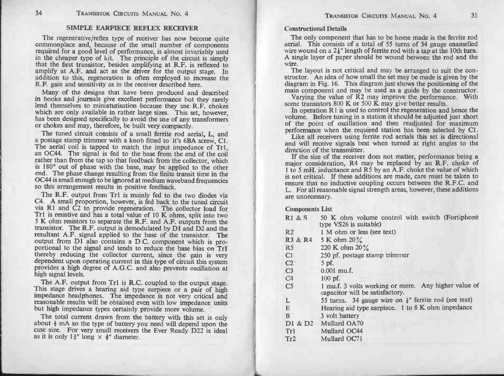## SIMPLE EARPIECE REFLEX RECEIVER

The regenerative/reflex type of receiver has now become quite commonplace and, because of the small number of components required for a good level of performance, is almost invariably used in the cheaper type of kit. The principle of the circuit is simply that the first transistor, besides amplifying at R.F. is reflexed to amplify at A.F. and act as the driver for the output stage. In addition to this, regeneration is often employed to increase the R.F. gain and sensitivity as in the receiver described here.

Many of the designs that have been produced and described in books and journals give excellent performance but they rarely lend themselves to miniaturisation because they use R.F. chokes which are only available in rather large sizes. This set, however, has been designed specifically to avoid the use of any transformers or chokes and may, therefore, be built very compactly.

The tuned circuit consists of a small ferrite rod aerial, L, and a postage stamp trimmer with a knob fitted to it's 6BA screw. Cl. The aerial coil is tapped to match the input impedance of Tr1, an OC44. The signal is fed to the base from the end of the coil rather than from the tap so that feedback from the collector, which is 180° out of phase with the base, may be applied to the other end. The phase change resulting from the finite transit time in the 0C44 is small enough to be ignored at medium waveband frequencies so this arrangement results in positive feedback.

The R.F. output from Tr1 is mainly fed to the two diodes via C4. A small proportion, however, is fed back to the tuned circuit via R1 and C2 to provide regeneration. The collector load for Trl is resistive and has a total value of 10 K ohms, split into two 5 K ohm resistors to separate the R.F. and A.F. outputs from the transistor. The R.F. output is demodulated by D1 and D2 and the resultant A.F. signal applied to the base of the transistor. The output from D1 also contains a D.C. component which is proportional to the signal and tends to reduce the base bias on Tr1 thereby reducing the collector current, since the gain is very dependent upon operating current in this type of circuit this system provides a high degree of A.G.C. and also prevents oscillation at high signal levels.

The A.F. output from Tr1 is R.C. coupled to the output stage. This stage drives a hearing aid type earpiece or a pair of high impedance headphones. The impedance is not very critical and reasonable results will be obtained even with low impedance units but high impedance types certainly provide more volume.

The total current drawn from the battery with this set is only about  $\frac{1}{2}$  mA so the type of battery you need will depend upon the case size. For very small receivers the Ever Ready D22 is ideal as it is only  $1\frac{3}{4}$ " long  $\times \frac{3}{4}$ " diameter.

## Constructional Details

The only component that has to be home made is the ferrite rod aerial. This consists of a total of 55 turns of 34 gauge enamelled wire wound on a  $2\frac{1}{2}$  length of ferrite rod with a tap at the 10th turn. A single layer of paper should be wound between the rod and the wire.<br>The layout is not critical and may be arranged to suit the con-

structor. An idea of how small the set may be made is given by the diagram in Fig. 16. This diagram just shows the positioning of the main component and may be used as a guide by the constructor. Varying the value of  $R2$  may improve the performance. With

some transistors 800 K or 500 K may give better results.<br>In operation R1 is used to control the regeneration and hence the

volume. Before tuning in a station it should be adjusted just short of the point of oscillation and then readjusted for maximum performance when the required station has been selected by C1.

Like all receivers using ferrite rod aerials this set is directional and will receive signals best when turned at right angles to the direction of the transmitter.<br>If the size of the receiver does not matter, performance being a

major consideration, R4 may be replaced by an R.F. choke of 1 to 5 mH. inductance and R5 by an A.F. choke the value of which is not critical. If these additions are made, care must be taken to ensure that no inductive coupling occurs between the R.F.C. and L. For all reasonable signal strength areas, however, these additions are unnecessary.

Components List

| $R1 &$ & S     | 50 K ohm volume control with switch (Fortiphone<br>type VS26 is suitable)               |
|----------------|-----------------------------------------------------------------------------------------|
| R <sub>2</sub> | 1 M ohm or less (see text)                                                              |
| R3 & R4        | 5 K ohm $20\%$                                                                          |
| R <sub>5</sub> | 220 K ohm $20\%$                                                                        |
| C1             | 250 pf. postage stamp trimmer                                                           |
| C <sub>2</sub> | $5$ pf.                                                                                 |
| C <sub>3</sub> | $0.001$ mu.f.                                                                           |
| C4             | $100$ pf.                                                                               |
| C <sub>5</sub> | 1 mu.f. 3 volts working or more. Any higher value of<br>capacitor will be satisfactory. |
| L              | 55 turns. 34 gauge wire on $\frac{1}{2}$ ferrite rod (see text)                         |
| E              | Hearing aid type earpiece. $1$ to $8K$ ohm impedance                                    |
| $\mathbf{B}$   | 3 volt battery                                                                          |
|                | D1 & D2 Mullard OA70                                                                    |
| Tr1            | Mullard OC44                                                                            |
| Tr2            | Mullard OC71                                                                            |
|                |                                                                                         |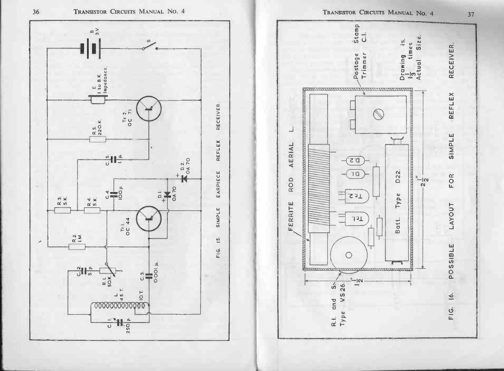

37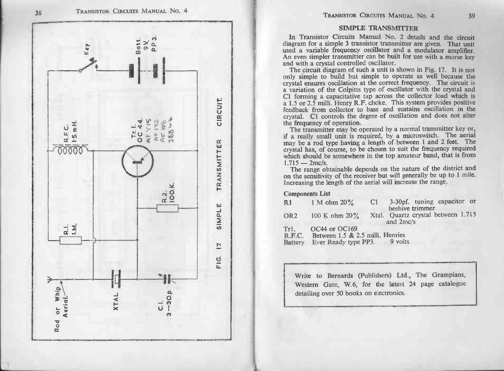

TRANSISTOR CIRCUITS MANUAL No. 4<br>
SIMPLE TRANSMITTER<br>
In Transistor Circuits Manual No. 2 details and the circuit<br>
diagram for a simple 3 transistor transmitter are given. That unit<br>
and with a crystal controlled os ullia

| R1              | 1 M ohm $20\%$                   | C1 |                                                       | 3-30pf. tuning capacitor or |  |
|-----------------|----------------------------------|----|-------------------------------------------------------|-----------------------------|--|
|                 |                                  |    | beehive trimmer<br>Xtal. Quartz crystal between 1.715 |                             |  |
| OR <sub>2</sub> | 100 K ohm $20\%$                 |    | and 2mc/s                                             |                             |  |
| Tr1.            | OC44 or OC169                    |    |                                                       |                             |  |
| R.F.C.          | Between 1.5 & 2.5 milli. Henries |    |                                                       |                             |  |
| <b>Battery</b>  | Ever Ready type PP3.             |    | 9 volts                                               |                             |  |

Write to Bernards (Publishers) Ltd., The Grampians, Western Gate, W.6, for the latest 24 page catalogue detailing over 50 books on electronics.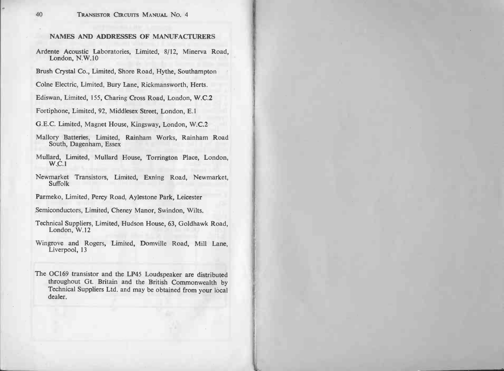## NAMES AND ADDRESSES OF MANUFACTURERS

- NAMES AND ADDRESSES OF MANUFACTURERS<br>Ardente Acoustic Laboratories, Limited, 8/12, Minerva Road, NAMES AND A<br>nte Acoustic La<br>London, N.W.10 Ardente Acoustic Laboratories, Limited, 8/12, Minerva R<br>London, N.W.10<br>Brush Crystal Co., Limited, Shore Road, Hythe, Southampton
- Brush Crystal Co., Limited, Shore Road, Hythe, Southampto<br>Colne Electric, Limited, Bury Lane, Rickmansworth, Herts.<br>Ediswan, Limited, 155, Charing Cross Road, London, W.C.2
- Colne Electric, Limited, Bury Lane, Rickmansworth, He<br>Ediswan, Limited, 155, Charing Cross Road, London, V<br>Fortiphone, Limited, 92, Middlesex Street, London, E.1
- Ediswan, Limited, 155, Charing Cross Road, London, W.C.2<br>Fortiphone, Limited, 92, Middlesex Street, London, E.1<br>G.E.C. Limited, Magnet House, Kingsway, London, W.C.2
- 
- 
- Fortiphone, Limited, 92, Middlesex Street, London, E.1<br>G.E.C. Limited, Magnet House, Kingsway, London, W.C.2<br>Mallory Batteries, Limited, Rainham Works, Rainham Road C. Limited, Magnet Hou<br>C. Limited, Magnet Hou<br>South, Dagenham, Essex Mallory Batteries, Limited, Rainham Works, Rainham Road<br>South, Dagenham, Essex<br>Mullard, Limited, Mullard House, Torrington Place, London,<br>W.C.1
- Mullard, Limited, Mullard House, Torrington Place, London, W.C.1<br>Newmarket Transistors, Limited, Exning Road, Newmarket, Suffolk
- 
- Parmeko, Limited, Percy Road, Aylestone Park, Leicester
- Semiconductors, Limited, Cheney Manor, Swindon, Wilts.
- Farnical Suppliers, Limited, Cheney Manor, Swindon, Wilts.<br>Technical Suppliers, Limited, Hudson House, 63, Goldhawk Road, London, W.12 Technical Suppliers, Limited, Hudson House, 63, Goldhawk Road, London, W.12<br>Wingrove and Rogers, Limited, Domville Road, Mill Lane, Liverpool, 13
- Wingrove and Rogers, Limited, Domville Road, Mill Lane,<br>Liverpool, 13<br>The OC169 transistor and the LP45 Loudspeaker are distributed
- Liverpool, 13<br>OC169 transistor and the LP45 Loudspeaker are distributed<br>throughout Gt. Britain and the British Commonwealth by prove and Rogers, Limited, Domville Road, Mill Lane,<br>Liverpool, 13<br>OC169 transistor and the LP45 Loudspeaker are distributed<br>throughout Gt. Britain and the British Commonwealth by<br>Technical Suppliers Ltd. and may be obtain